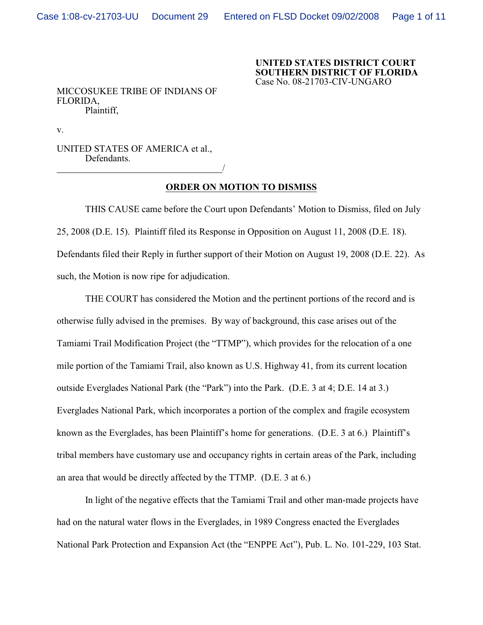**UNITED STATES DISTRICT COURT SOUTHERN DISTRICT OF FLORIDA** Case No. 08-21703-CIV-UNGARO

MICCOSUKEE TRIBE OF INDIANS OF FLORIDA, Plaintiff,

v.

UNITED STATES OF AMERICA et al., Defendants. <u>/</u>

## **ORDER ON MOTION TO DISMISS**

THIS CAUSE came before the Court upon Defendants' Motion to Dismiss, filed on July 25, 2008 (D.E. 15). Plaintiff filed its Response in Opposition on August 11, 2008 (D.E. 18). Defendants filed their Reply in further support of their Motion on August 19, 2008 (D.E. 22). As such, the Motion is now ripe for adjudication.

THE COURT has considered the Motion and the pertinent portions of the record and is otherwise fully advised in the premises. By way of background, this case arises out of the Tamiami Trail Modification Project (the "TTMP"), which provides for the relocation of a one mile portion of the Tamiami Trail, also known as U.S. Highway 41, from its current location outside Everglades National Park (the "Park") into the Park. (D.E. 3 at 4; D.E. 14 at 3.) Everglades National Park, which incorporates a portion of the complex and fragile ecosystem known as the Everglades, has been Plaintiff's home for generations. (D.E. 3 at 6.) Plaintiff's tribal members have customary use and occupancy rights in certain areas of the Park, including an area that would be directly affected by the TTMP. (D.E. 3 at 6.)

In light of the negative effects that the Tamiami Trail and other man-made projects have had on the natural water flows in the Everglades, in 1989 Congress enacted the Everglades National Park Protection and Expansion Act (the "ENPPE Act"), Pub. L. No. 101-229, 103 Stat.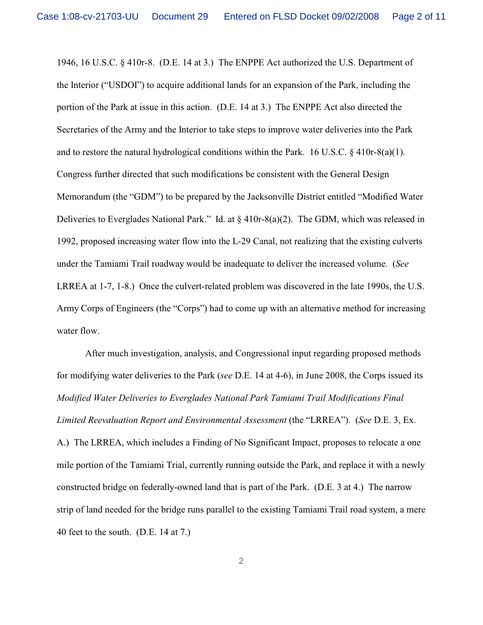1946, 16 U.S.C. § 410r-8. (D.E. 14 at 3.) The ENPPE Act authorized the U.S. Department of the Interior ("USDOI") to acquire additional lands for an expansion of the Park, including the portion of the Park at issue in this action. (D.E. 14 at 3.) The ENPPE Act also directed the Secretaries of the Army and the Interior to take steps to improve water deliveries into the Park and to restore the natural hydrological conditions within the Park. 16 U.S.C. § 410r-8(a)(1). Congress further directed that such modifications be consistent with the General Design Memorandum (the "GDM") to be prepared by the Jacksonville District entitled "Modified Water Deliveries to Everglades National Park." Id. at § 410r-8(a)(2). The GDM, which was released in 1992, proposed increasing water flow into the L-29 Canal, not realizing that the existing culverts under the Tamiami Trail roadway would be inadequate to deliver the increased volume. (*See* LRREA at 1-7, 1-8.) Once the culvert-related problem was discovered in the late 1990s, the U.S. Army Corps of Engineers (the "Corps") had to come up with an alternative method for increasing water flow.

After much investigation, analysis, and Congressional input regarding proposed methods for modifying water deliveries to the Park (*see* D.E. 14 at 4-6), in June 2008, the Corps issued its *Modified Water Deliveries to Everglades National Park Tamiami Trail Modifications Final Limited Reevaluation Report and Environmental Assessment* (the "LRREA"). (*See* D.E. 3, Ex.

A.) The LRREA, which includes a Finding of No Significant Impact, proposes to relocate a one mile portion of the Tamiami Trial, currently running outside the Park, and replace it with a newly constructed bridge on federally-owned land that is part of the Park. (D.E. 3 at 4.) The narrow strip of land needed for the bridge runs parallel to the existing Tamiami Trail road system, a mere 40 feet to the south. (D.E. 14 at 7.)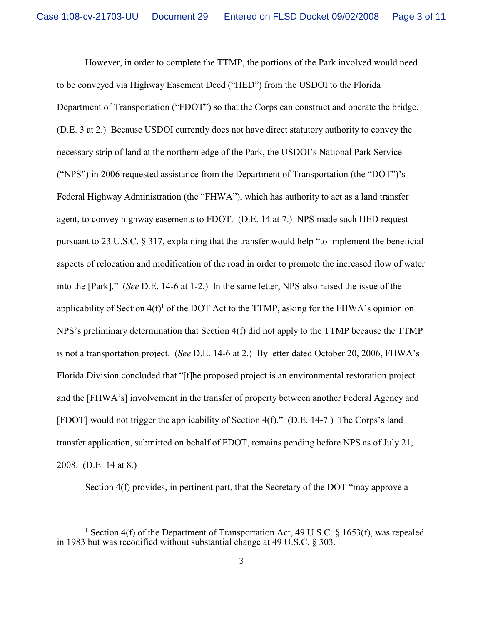However, in order to complete the TTMP, the portions of the Park involved would need to be conveyed via Highway Easement Deed ("HED") from the USDOI to the Florida Department of Transportation ("FDOT") so that the Corps can construct and operate the bridge. (D.E. 3 at 2.) Because USDOI currently does not have direct statutory authority to convey the necessary strip of land at the northern edge of the Park, the USDOI's National Park Service ("NPS") in 2006 requested assistance from the Department of Transportation (the "DOT")'s Federal Highway Administration (the "FHWA"), which has authority to act as a land transfer agent, to convey highway easements to FDOT. (D.E. 14 at 7.) NPS made such HED request pursuant to 23 U.S.C. § 317, explaining that the transfer would help "to implement the beneficial aspects of relocation and modification of the road in order to promote the increased flow of water into the [Park]." (*See* D.E. 14-6 at 1-2.) In the same letter, NPS also raised the issue of the applicability of Section  $4(f)$ <sup>1</sup> of the DOT Act to the TTMP, asking for the FHWA's opinion on NPS's preliminary determination that Section 4(f) did not apply to the TTMP because the TTMP is not a transportation project. (*See* D.E. 14-6 at 2.) By letter dated October 20, 2006, FHWA's Florida Division concluded that "[t]he proposed project is an environmental restoration project and the [FHWA's] involvement in the transfer of property between another Federal Agency and [FDOT] would not trigger the applicability of Section 4(f)." (D.E. 14-7.) The Corps's land transfer application, submitted on behalf of FDOT, remains pending before NPS as of July 21, 2008. (D.E. 14 at 8.)

Section 4(f) provides, in pertinent part, that the Secretary of the DOT "may approve a

<sup>&</sup>lt;sup>1</sup> Section 4(f) of the Department of Transportation Act, 49 U.S.C. § 1653(f), was repealed in 1983 but was recodified without substantial change at 49 U.S.C. § 303.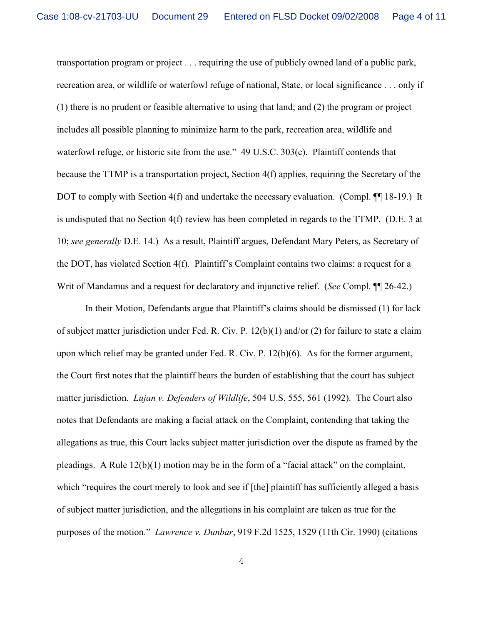transportation program or project . . . requiring the use of publicly owned land of a public park, recreation area, or wildlife or waterfowl refuge of national, State, or local significance . . . only if (1) there is no prudent or feasible alternative to using that land; and (2) the program or project includes all possible planning to minimize harm to the park, recreation area, wildlife and waterfowl refuge, or historic site from the use." 49 U.S.C. 303(c). Plaintiff contends that because the TTMP is a transportation project, Section 4(f) applies, requiring the Secretary of the DOT to comply with Section 4(f) and undertake the necessary evaluation. (Compl.  $\P$ [18-19.) It is undisputed that no Section 4(f) review has been completed in regards to the TTMP. (D.E. 3 at 10; *see generally* D.E. 14.) As a result, Plaintiff argues, Defendant Mary Peters, as Secretary of the DOT, has violated Section 4(f). Plaintiff's Complaint contains two claims: a request for a Writ of Mandamus and a request for declaratory and injunctive relief. (*See* Compl. ¶¶ 26-42.)

In their Motion, Defendants argue that Plaintiff's claims should be dismissed (1) for lack of subject matter jurisdiction under Fed. R. Civ. P. 12(b)(1) and/or (2) for failure to state a claim upon which relief may be granted under Fed. R. Civ. P. 12(b)(6). As for the former argument, the Court first notes that the plaintiff bears the burden of establishing that the court has subject matter jurisdiction. *Lujan v. Defenders of Wildlife*, 504 U.S. 555, 561 (1992). The Court also notes that Defendants are making a facial attack on the Complaint, contending that taking the allegations as true, this Court lacks subject matter jurisdiction over the dispute as framed by the pleadings. A Rule 12(b)(1) motion may be in the form of a "facial attack" on the complaint, which "requires the court merely to look and see if [the] plaintiff has sufficiently alleged a basis of subject matter jurisdiction, and the allegations in his complaint are taken as true for the purposes of the motion." *Lawrence v. Dunbar*, 919 F.2d 1525, 1529 (11th Cir. 1990) (citations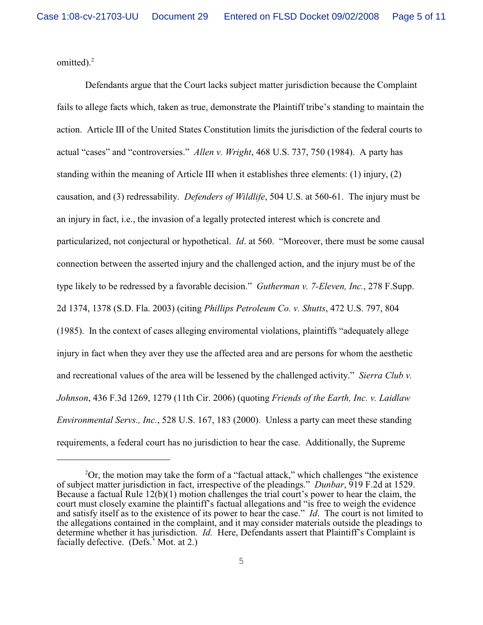omitted). $<sup>2</sup>$ </sup>

Defendants argue that the Court lacks subject matter jurisdiction because the Complaint fails to allege facts which, taken as true, demonstrate the Plaintiff tribe's standing to maintain the action. Article III of the United States Constitution limits the jurisdiction of the federal courts to actual "cases" and "controversies." *Allen v. Wright*, 468 U.S. 737, 750 (1984). A party has standing within the meaning of Article III when it establishes three elements: (1) injury, (2) causation, and (3) redressability. *Defenders of Wildlife*, 504 U.S. at 560-61. The injury must be an injury in fact, i.e., the invasion of a legally protected interest which is concrete and particularized, not conjectural or hypothetical. *Id*. at 560. "Moreover, there must be some causal connection between the asserted injury and the challenged action, and the injury must be of the type likely to be redressed by a favorable decision." *Gutherman v. 7-Eleven, Inc.*, 278 F.Supp. 2d 1374, 1378 (S.D. Fla. 2003) (citing *Phillips Petroleum Co. v. Shutts*, 472 U.S. 797, 804 (1985). In the context of cases alleging enviromental violations, plaintiffs "adequately allege injury in fact when they aver they use the affected area and are persons for whom the aesthetic and recreational values of the area will be lessened by the challenged activity." *Sierra Club v. Johnson*, 436 F.3d 1269, 1279 (11th Cir. 2006) (quoting *Friends of the Earth, Inc. v. Laidlaw Environmental Servs., Inc.*, 528 U.S. 167, 183 (2000). Unless a party can meet these standing requirements, a federal court has no jurisdiction to hear the case. Additionally, the Supreme

 $^{2}$ Or, the motion may take the form of a "factual attack," which challenges "the existence of subject matter jurisdiction in fact, irrespective of the pleadings." *Dunbar*, 919 F.2d at 1529. Because a factual Rule 12(b)(1) motion challenges the trial court's power to hear the claim, the court must closely examine the plaintiff's factual allegations and "is free to weigh the evidence and satisfy itself as to the existence of its power to hear the case." *Id*. The court is not limited to the allegations contained in the complaint, and it may consider materials outside the pleadings to determine whether it has jurisdiction. *Id.* Here, Defendants assert that Plaintiff's Complaint is facially defective. (Defs.' Mot. at 2.)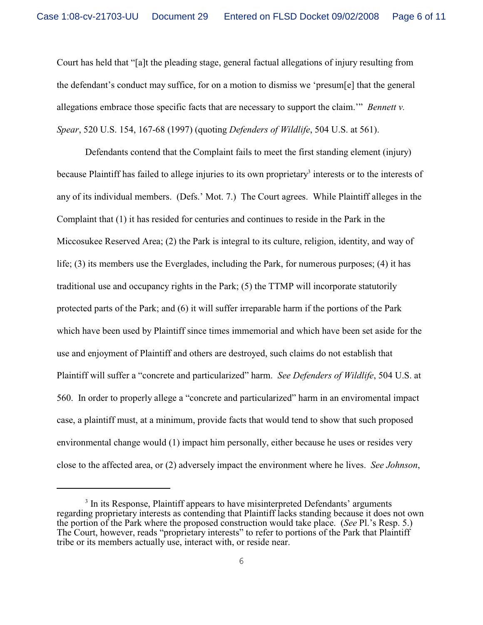Court has held that "[a]t the pleading stage, general factual allegations of injury resulting from the defendant's conduct may suffice, for on a motion to dismiss we 'presum[e] that the general allegations embrace those specific facts that are necessary to support the claim.'" *Bennett v. Spear*, 520 U.S. 154, 167-68 (1997) (quoting *Defenders of Wildlife*, 504 U.S. at 561).

Defendants contend that the Complaint fails to meet the first standing element (injury) because Plaintiff has failed to allege injuries to its own proprietary<sup>3</sup> interests or to the interests of any of its individual members. (Defs.' Mot. 7.) The Court agrees. While Plaintiff alleges in the Complaint that (1) it has resided for centuries and continues to reside in the Park in the Miccosukee Reserved Area; (2) the Park is integral to its culture, religion, identity, and way of life; (3) its members use the Everglades, including the Park, for numerous purposes; (4) it has traditional use and occupancy rights in the Park; (5) the TTMP will incorporate statutorily protected parts of the Park; and (6) it will suffer irreparable harm if the portions of the Park which have been used by Plaintiff since times immemorial and which have been set aside for the use and enjoyment of Plaintiff and others are destroyed, such claims do not establish that Plaintiff will suffer a "concrete and particularized" harm. *See Defenders of Wildlife*, 504 U.S. at 560. In order to properly allege a "concrete and particularized" harm in an enviromental impact case, a plaintiff must, at a minimum, provide facts that would tend to show that such proposed environmental change would (1) impact him personally, either because he uses or resides very close to the affected area, or (2) adversely impact the environment where he lives. *See Johnson*,

 $3$  In its Response, Plaintiff appears to have misinterpreted Defendants' arguments regarding proprietary interests as contending that Plaintiff lacks standing because it does not own the portion of the Park where the proposed construction would take place. (*See* Pl.'s Resp. 5.) The Court, however, reads "proprietary interests" to refer to portions of the Park that Plaintiff tribe or its members actually use, interact with, or reside near.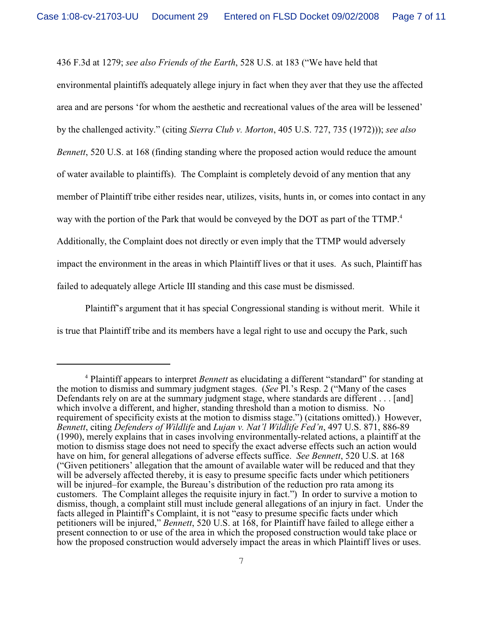436 F.3d at 1279; *see also Friends of the Earth*, 528 U.S. at 183 ("We have held that

environmental plaintiffs adequately allege injury in fact when they aver that they use the affected area and are persons 'for whom the aesthetic and recreational values of the area will be lessened' by the challenged activity." (citing *Sierra Club v. Morton*, 405 U.S. 727, 735 (1972))); *see also Bennett*, 520 U.S. at 168 (finding standing where the proposed action would reduce the amount of water available to plaintiffs). The Complaint is completely devoid of any mention that any member of Plaintiff tribe either resides near, utilizes, visits, hunts in, or comes into contact in any way with the portion of the Park that would be conveyed by the DOT as part of the TTMP.<sup>4</sup> Additionally, the Complaint does not directly or even imply that the TTMP would adversely impact the environment in the areas in which Plaintiff lives or that it uses. As such, Plaintiff has failed to adequately allege Article III standing and this case must be dismissed.

Plaintiff's argument that it has special Congressional standing is without merit. While it is true that Plaintiff tribe and its members have a legal right to use and occupy the Park, such

<sup>&</sup>lt;sup>4</sup> Plaintiff appears to interpret *Bennett* as elucidating a different "standard" for standing at the motion to dismiss and summary judgment stages. (*See* Pl.'s Resp. 2 ("Many of the cases Defendants rely on are at the summary judgment stage, where standards are different . . . [and] which involve a different, and higher, standing threshold than a motion to dismiss. No requirement of specificity exists at the motion to dismiss stage.") (citations omitted).) However, *Bennett*, citing *Defenders of Wildlife* and *Lujan v. Nat'l Wildlife Fed'n*, 497 U.S. 871, 886-89 (1990), merely explains that in cases involving environmentally-related actions, a plaintiff at the motion to dismiss stage does not need to specify the exact adverse effects such an action would have on him, for general allegations of adverse effects suffice. *See Bennett*, 520 U.S. at 168 ("Given petitioners' allegation that the amount of available water will be reduced and that they will be adversely affected thereby, it is easy to presume specific facts under which petitioners will be injured–for example, the Bureau's distribution of the reduction pro rata among its customers. The Complaint alleges the requisite injury in fact.") In order to survive a motion to dismiss, though, a complaint still must include general allegations of an injury in fact. Under the facts alleged in Plaintiff's Complaint, it is not "easy to presume specific facts under which petitioners will be injured," *Bennett*, 520 U.S. at 168, for Plaintiff have failed to allege either a present connection to or use of the area in which the proposed construction would take place or how the proposed construction would adversely impact the areas in which Plaintiff lives or uses.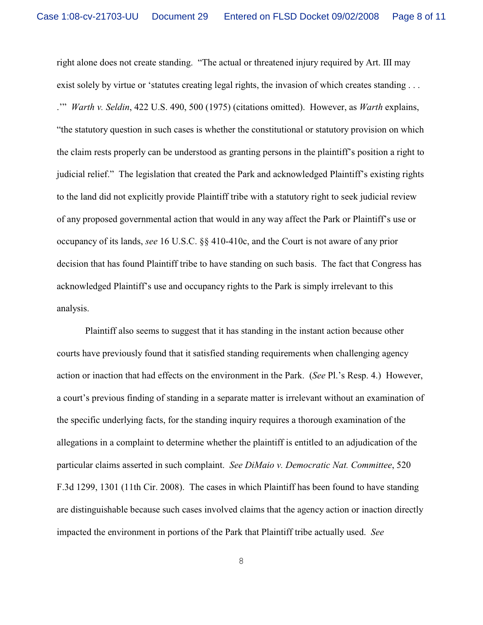right alone does not create standing. "The actual or threatened injury required by Art. III may exist solely by virtue or 'statutes creating legal rights, the invasion of which creates standing . . . .'" *Warth v. Seldin*, 422 U.S. 490, 500 (1975) (citations omitted). However, as *Warth* explains, "the statutory question in such cases is whether the constitutional or statutory provision on which the claim rests properly can be understood as granting persons in the plaintiff's position a right to judicial relief." The legislation that created the Park and acknowledged Plaintiff's existing rights to the land did not explicitly provide Plaintiff tribe with a statutory right to seek judicial review of any proposed governmental action that would in any way affect the Park or Plaintiff's use or occupancy of its lands, *see* 16 U.S.C. §§ 410-410c, and the Court is not aware of any prior decision that has found Plaintiff tribe to have standing on such basis. The fact that Congress has acknowledged Plaintiff's use and occupancy rights to the Park is simply irrelevant to this analysis.

Plaintiff also seems to suggest that it has standing in the instant action because other courts have previously found that it satisfied standing requirements when challenging agency action or inaction that had effects on the environment in the Park. (*See* Pl.'s Resp. 4.) However, a court's previous finding of standing in a separate matter is irrelevant without an examination of the specific underlying facts, for the standing inquiry requires a thorough examination of the allegations in a complaint to determine whether the plaintiff is entitled to an adjudication of the particular claims asserted in such complaint. *See DiMaio v. Democratic Nat. Committee*, 520 F.3d 1299, 1301 (11th Cir. 2008). The cases in which Plaintiff has been found to have standing are distinguishable because such cases involved claims that the agency action or inaction directly impacted the environment in portions of the Park that Plaintiff tribe actually used. *See*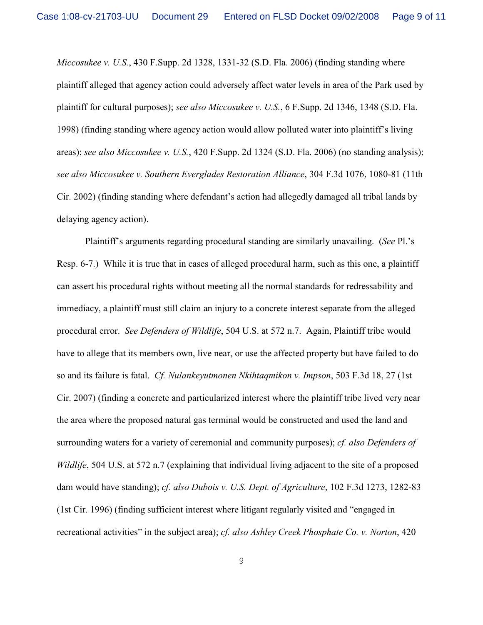*Miccosukee v. U.S.*, 430 F.Supp. 2d 1328, 1331-32 (S.D. Fla. 2006) (finding standing where plaintiff alleged that agency action could adversely affect water levels in area of the Park used by plaintiff for cultural purposes); *see also Miccosukee v. U.S.*, 6 F.Supp. 2d 1346, 1348 (S.D. Fla. 1998) (finding standing where agency action would allow polluted water into plaintiff's living areas); *see also Miccosukee v. U.S.*, 420 F.Supp. 2d 1324 (S.D. Fla. 2006) (no standing analysis); *see also Miccosukee v. Southern Everglades Restoration Alliance*, 304 F.3d 1076, 1080-81 (11th Cir. 2002) (finding standing where defendant's action had allegedly damaged all tribal lands by delaying agency action).

Plaintiff's arguments regarding procedural standing are similarly unavailing. (*See* Pl.'s Resp. 6-7.) While it is true that in cases of alleged procedural harm, such as this one, a plaintiff can assert his procedural rights without meeting all the normal standards for redressability and immediacy, a plaintiff must still claim an injury to a concrete interest separate from the alleged procedural error. *See Defenders of Wildlife*, 504 U.S. at 572 n.7. Again, Plaintiff tribe would have to allege that its members own, live near, or use the affected property but have failed to do so and its failure is fatal. *Cf. Nulankeyutmonen Nkihtaqmikon v. Impson*, 503 F.3d 18, 27 (1st Cir. 2007) (finding a concrete and particularized interest where the plaintiff tribe lived very near the area where the proposed natural gas terminal would be constructed and used the land and surrounding waters for a variety of ceremonial and community purposes); *cf. also Defenders of Wildlife*, 504 U.S. at 572 n.7 (explaining that individual living adjacent to the site of a proposed dam would have standing); *cf. also Dubois v. U.S. Dept. of Agriculture*, 102 F.3d 1273, 1282-83 (1st Cir. 1996) (finding sufficient interest where litigant regularly visited and "engaged in recreational activities" in the subject area); *cf. also Ashley Creek Phosphate Co. v. Norton*, 420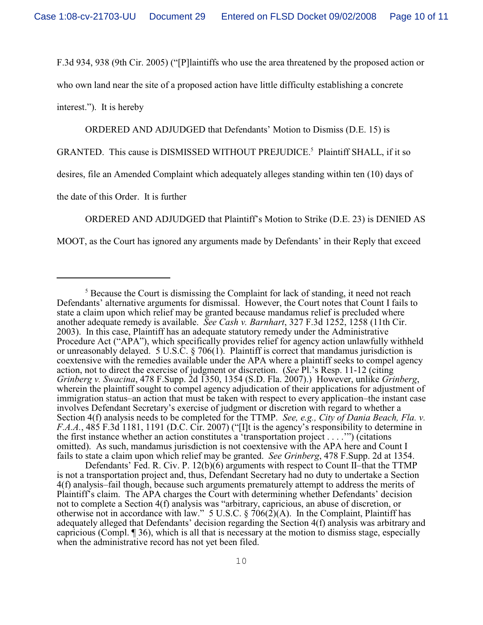F.3d 934, 938 (9th Cir. 2005) ("[P]laintiffs who use the area threatened by the proposed action or

who own land near the site of a proposed action have little difficulty establishing a concrete

interest."). It is hereby

ORDERED AND ADJUDGED that Defendants' Motion to Dismiss (D.E. 15) is

GRANTED. This cause is DISMISSED WITHOUT PREJUDICE.<sup>5</sup> Plaintiff SHALL, if it so

desires, file an Amended Complaint which adequately alleges standing within ten (10) days of

the date of this Order. It is further

ORDERED AND ADJUDGED that Plaintiff's Motion to Strike (D.E. 23) is DENIED AS

MOOT, as the Court has ignored any arguments made by Defendants' in their Reply that exceed

 $5$  Because the Court is dismissing the Complaint for lack of standing, it need not reach Defendants' alternative arguments for dismissal. However, the Court notes that Count I fails to state a claim upon which relief may be granted because mandamus relief is precluded where another adequate remedy is available. *See Cash v. Barnhart*, 327 F.3d 1252, 1258 (11th Cir. 2003). In this case, Plaintiff has an adequate statutory remedy under the Administrative Procedure Act ("APA"), which specifically provides relief for agency action unlawfully withheld or unreasonably delayed. 5 U.S.C. § 706(1). Plaintiff is correct that mandamus jurisdiction is coextensive with the remedies available under the APA where a plaintiff seeks to compel agency action, not to direct the exercise of judgment or discretion. (*See* Pl.'s Resp. 11-12 (citing *Grinberg v. Swacina*, 478 F.Supp. 2d 1350, 1354 (S.D. Fla. 2007).) However, unlike *Grinberg*, wherein the plaintiff sought to compel agency adjudication of their applications for adjustment of immigration status–an action that must be taken with respect to every application–the instant case involves Defendant Secretary's exercise of judgment or discretion with regard to whether a Section 4(f) analysis needs to be completed for the TTMP. *See, e.g., City of Dania Beach, Fla. v. F.A.A.*, 485 F.3d 1181, 1191 (D.C. Cir. 2007) ("[I]t is the agency's responsibility to determine in the first instance whether an action constitutes a 'transportation project . . . .'") (citations omitted). As such, mandamus jurisdiction is not coextensive with the APA here and Count I fails to state a claim upon which relief may be granted. *See Grinberg*, 478 F.Supp. 2d at 1354.

Defendants' Fed. R. Civ. P. 12(b)(6) arguments with respect to Count II-that the TTMP is not a transportation project and, thus, Defendant Secretary had no duty to undertake a Section 4(f) analysis–fail though, because such arguments prematurely attempt to address the merits of Plaintiff's claim. The APA charges the Court with determining whether Defendants' decision not to complete a Section 4(f) analysis was "arbitrary, capricious, an abuse of discretion, or otherwise not in accordance with law." 5 U.S.C.  $\frac{6}{9}$  706(2)(A). In the Complaint, Plaintiff has adequately alleged that Defendants' decision regarding the Section 4(f) analysis was arbitrary and capricious (Compl. ¶ 36), which is all that is necessary at the motion to dismiss stage, especially when the administrative record has not yet been filed.